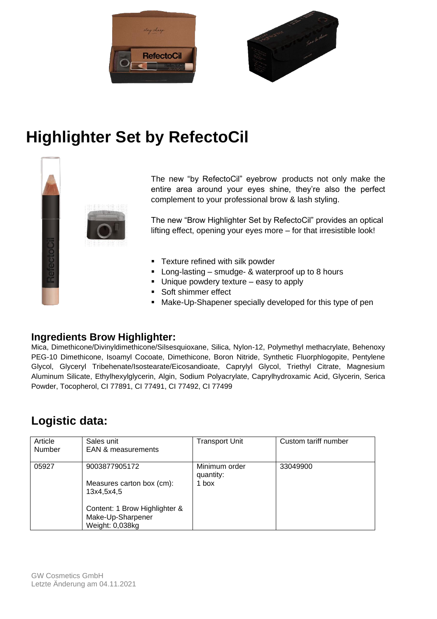



# **Highlighter Set by RefectoCil**



The new "by RefectoCil" eyebrow products not only make the entire area around your eyes shine, they're also the perfect complement to your professional brow & lash styling.

The new "Brow Highlighter Set by RefectoCil" provides an optical lifting effect, opening your eyes more – for that irresistible look!

- **•** Texture refined with silk powder
- **E** Long-lasting smudge- & waterproof up to 8 hours
- Unique powdery texture easy to apply
- Soft shimmer effect
- Make-Up-Shapener specially developed for this type of pen

### **Ingredients Brow Highlighter:**

Mica, Dimethicone/Divinyldimethicone/Silsesquioxane, Silica, Nylon-12, Polymethyl methacrylate, Behenoxy PEG-10 Dimethicone, Isoamyl Cocoate, Dimethicone, Boron Nitride, Synthetic Fluorphlogopite, Pentylene Glycol, Glyceryl Tribehenate/Isostearate/Eicosandioate, Caprylyl Glycol, Triethyl Citrate, Magnesium Aluminum Silicate, Ethylhexylglycerin, Algin, Sodium Polyacrylate, Caprylhydroxamic Acid, Glycerin, Serica Powder, Tocopherol, CI 77891, CI 77491, CI 77492, CI 77499

## **Logistic data:**

| Article<br>Number | Sales unit<br><b>EAN &amp; measurements</b>                                                                                       | <b>Transport Unit</b>               | Custom tariff number |
|-------------------|-----------------------------------------------------------------------------------------------------------------------------------|-------------------------------------|----------------------|
| 05927             | 9003877905172<br>Measures carton box (cm):<br>13x4,5x4,5<br>Content: 1 Brow Highlighter &<br>Make-Up-Sharpener<br>Weight: 0,038kg | Minimum order<br>quantity:<br>1 box | 33049900             |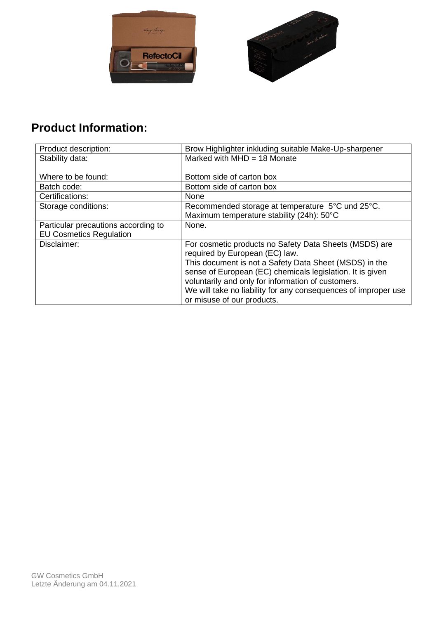



## **Product Information:**

| Product description:                | Brow Highlighter inkluding suitable Make-Up-sharpener                                    |  |
|-------------------------------------|------------------------------------------------------------------------------------------|--|
| Stability data:                     | Marked with $MHD = 18$ Monate                                                            |  |
|                                     |                                                                                          |  |
| Where to be found:                  | Bottom side of carton box                                                                |  |
| Batch code:                         | Bottom side of carton box                                                                |  |
| Certifications:                     | None                                                                                     |  |
| Storage conditions:                 | Recommended storage at temperature 5°C und 25°C.                                         |  |
|                                     | Maximum temperature stability (24h): 50°C                                                |  |
| Particular precautions according to | None.                                                                                    |  |
| <b>EU Cosmetics Regulation</b>      |                                                                                          |  |
| Disclaimer:                         | For cosmetic products no Safety Data Sheets (MSDS) are<br>required by European (EC) law. |  |
|                                     | This document is not a Safety Data Sheet (MSDS) in the                                   |  |
|                                     | sense of European (EC) chemicals legislation. It is given                                |  |
|                                     | voluntarily and only for information of customers.                                       |  |
|                                     | We will take no liability for any consequences of improper use                           |  |
|                                     | or misuse of our products.                                                               |  |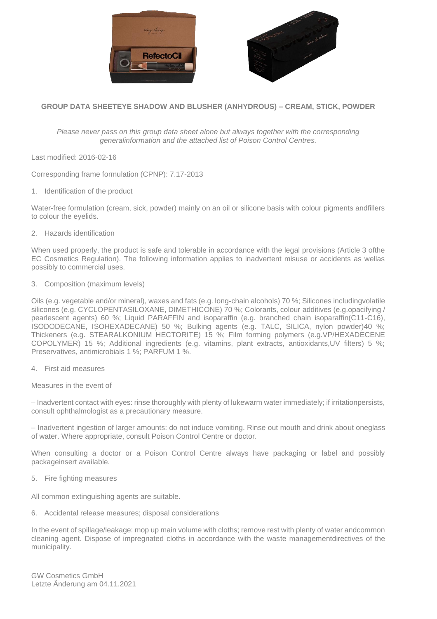



#### **GROUP DATA SHEETEYE SHADOW AND BLUSHER (ANHYDROUS) – CREAM, STICK, POWDER**

*Please never pass on this group data sheet alone but always together with the corresponding generalinformation and the attached list of Poison Control Centres.*

Last modified: 2016-02-16

Corresponding frame formulation (CPNP): 7.17-2013

1. Identification of the product

Water-free formulation (cream, sick, powder) mainly on an oil or silicone basis with colour pigments andfillers to colour the eyelids.

2. Hazards identification

When used properly, the product is safe and tolerable in accordance with the legal provisions (Article 3 ofthe EC Cosmetics Regulation). The following information applies to inadvertent misuse or accidents as wellas possibly to commercial uses.

3. Composition (maximum levels)

Oils (e.g. vegetable and/or mineral), waxes and fats (e.g. long-chain alcohols) 70 %; Silicones includingvolatile silicones (e.g. CYCLOPENTASILOXANE, DIMETHICONE) 70 %; Colorants, colour additives (e.g.opacifying / pearlescent agents) 60 %; Liquid PARAFFIN and isoparaffin (e.g. branched chain isoparaffin(C11-C16), ISODODECANE, ISOHEXADECANE) 50 %; Bulking agents (e.g. TALC, SILICA, nylon powder)40 %; Thickeners (e.g. STEARALKONIUM HECTORITE) 15 %; Film forming polymers (e.g.VP/HEXADECENE COPOLYMER) 15 %; Additional ingredients (e.g. vitamins, plant extracts, antioxidants,UV filters) 5 %; Preservatives, antimicrobials 1 %; PARFUM 1 %.

4. First aid measures

Measures in the event of

– Inadvertent contact with eyes: rinse thoroughly with plenty of lukewarm water immediately; if irritationpersists, consult ophthalmologist as a precautionary measure.

– Inadvertent ingestion of larger amounts: do not induce vomiting. Rinse out mouth and drink about oneglass of water. Where appropriate, consult Poison Control Centre or doctor.

When consulting a doctor or a Poison Control Centre always have packaging or label and possibly packageinsert available.

5. Fire fighting measures

All common extinguishing agents are suitable.

6. Accidental release measures; disposal considerations

In the event of spillage/leakage: mop up main volume with cloths; remove rest with plenty of water andcommon cleaning agent. Dispose of impregnated cloths in accordance with the waste managementdirectives of the municipality.